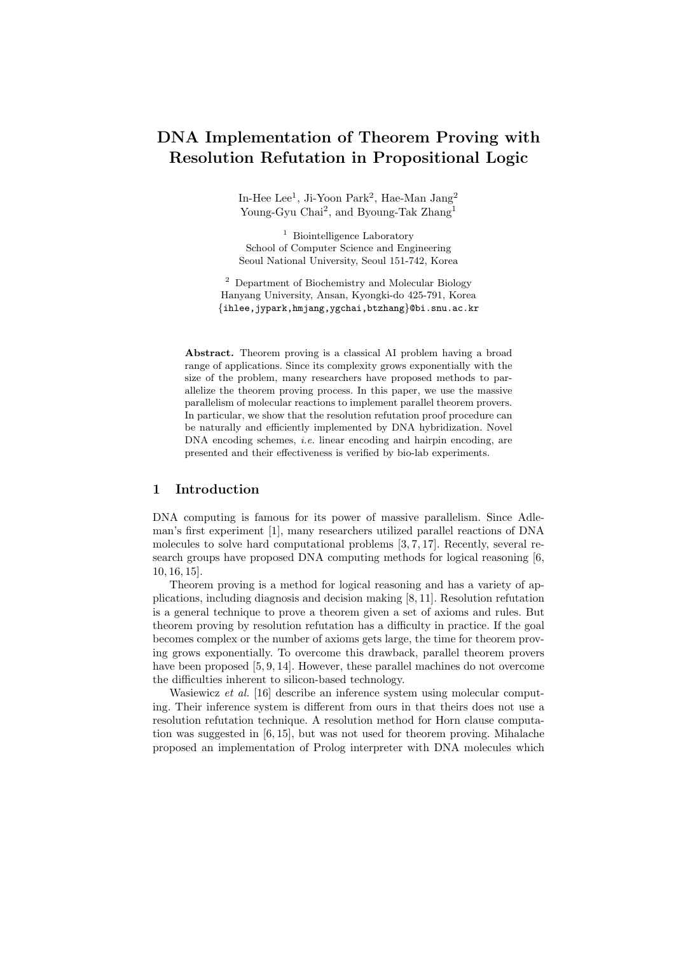# **DNA Implementation of Theorem Proving with Resolution Refutation in Propositional Logic**

In-Hee Lee<sup>1</sup>, Ji-Yoon Park<sup>2</sup>, Hae-Man Jang<sup>2</sup> Young-Gyu Chai<sup>2</sup>, and Byoung-Tak Zhang<sup>1</sup>

<sup>1</sup> Biointelligence Laboratory School of Computer Science and Engineering Seoul National University, Seoul 151-742, Korea

<sup>2</sup> Department of Biochemistry and Molecular Biology Hanyang University, Ansan, Kyongki-do 425-791, Korea {ihlee,jypark,hmjang,ygchai,btzhang}@bi.snu.ac.kr

**Abstract.** Theorem proving is a classical AI problem having a broad range of applications. Since its complexity grows exponentially with the size of the problem, many researchers have proposed methods to parallelize the theorem proving process. In this paper, we use the massive parallelism of molecular reactions to implement parallel theorem provers. In particular, we show that the resolution refutation proof procedure can be naturally and efficiently implemented by DNA hybridization. Novel DNA encoding schemes, i.e. linear encoding and hairpin encoding, are presented and their effectiveness is verified by bio-lab experiments.

# **1 Introduction**

DNA computing is famous for its power of massive parallelism. Since Adleman's first experiment [1], many researchers utilized parallel reactions of DNA molecules to solve hard computational problems [3, 7, 17]. Recently, several research groups have proposed DNA computing methods for logical reasoning [6, 10, 16, 15].

Theorem proving is a method for logical reasoning and has a variety of applications, including diagnosis and decision making [8, 11]. Resolution refutation is a general technique to prove a theorem given a set of axioms and rules. But theorem proving by resolution refutation has a difficulty in practice. If the goal becomes complex or the number of axioms gets large, the time for theorem proving grows exponentially. To overcome this drawback, parallel theorem provers have been proposed [5, 9, 14]. However, these parallel machines do not overcome the difficulties inherent to silicon-based technology.

Wasiewicz *et al.* [16] describe an inference system using molecular computing. Their inference system is different from ours in that theirs does not use a resolution refutation technique. A resolution method for Horn clause computation was suggested in [6, 15], but was not used for theorem proving. Mihalache proposed an implementation of Prolog interpreter with DNA molecules which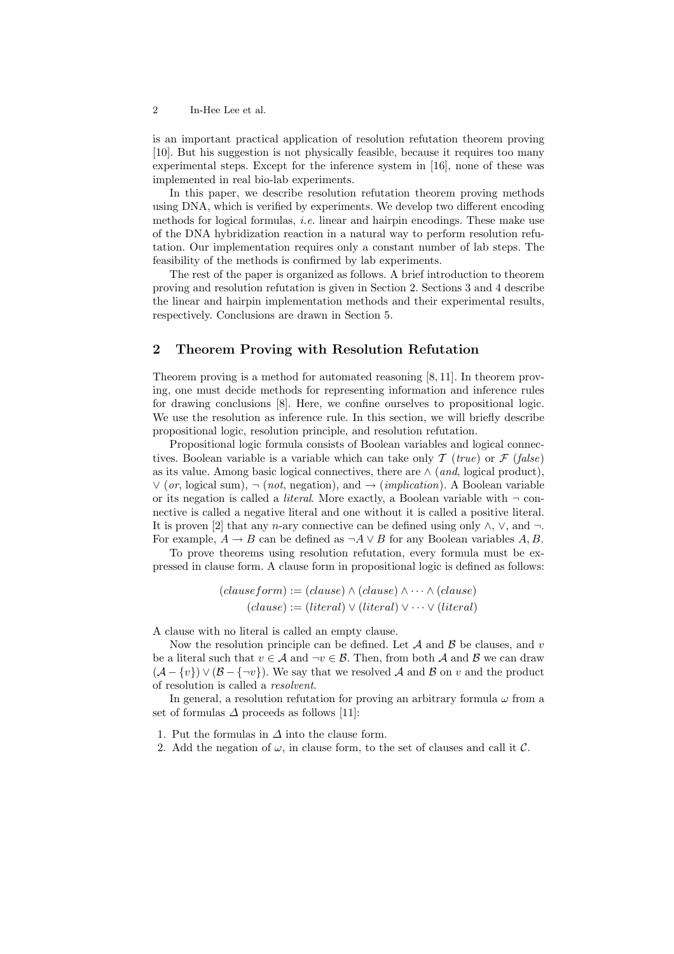### 2 In-Hee Lee et al.

is an important practical application of resolution refutation theorem proving [10]. But his suggestion is not physically feasible, because it requires too many experimental steps. Except for the inference system in [16], none of these was implemented in real bio-lab experiments.

In this paper, we describe resolution refutation theorem proving methods using DNA, which is verified by experiments. We develop two different encoding methods for logical formulas, *i.e.* linear and hairpin encodings. These make use of the DNA hybridization reaction in a natural way to perform resolution refutation. Our implementation requires only a constant number of lab steps. The feasibility of the methods is confirmed by lab experiments.

The rest of the paper is organized as follows. A brief introduction to theorem proving and resolution refutation is given in Section 2. Sections 3 and 4 describe the linear and hairpin implementation methods and their experimental results, respectively. Conclusions are drawn in Section 5.

## **2 Theorem Proving with Resolution Refutation**

Theorem proving is a method for automated reasoning [8, 11]. In theorem proving, one must decide methods for representing information and inference rules for drawing conclusions [8]. Here, we confine ourselves to propositional logic. We use the resolution as inference rule. In this section, we will briefly describe propositional logic, resolution principle, and resolution refutation.

Propositional logic formula consists of Boolean variables and logical connectives. Boolean variable is a variable which can take only  $\mathcal{T}$  (*true*) or  $\mathcal{F}$  (*false*) as its value. Among basic logical connectives, there are ∧ (*and*, logical product), ∨ (*or*, logical sum), ¬ (*not*, negation), and → (*implication*). A Boolean variable or its negation is called a *literal*. More exactly, a Boolean variable with  $\neg$  connective is called a negative literal and one without it is called a positive literal. It is proven [2] that any n-ary connective can be defined using only  $\wedge$ ,  $\vee$ , and  $\neg$ . For example,  $A \to B$  can be defined as  $\neg A \lor B$  for any Boolean variables A, B.

To prove theorems using resolution refutation, every formula must be expressed in clause form. A clause form in propositional logic is defined as follows:

$$
(clauseform) := (clause) \land (clause) \land \cdots \land (clause)
$$

$$
(clause) := (literal) \lor (literal) \lor \cdots \lor (literal)
$$

A clause with no literal is called an empty clause.

Now the resolution principle can be defined. Let  $A$  and  $B$  be clauses, and v be a literal such that  $v \in A$  and  $\neg v \in B$ . Then, from both A and B we can draw  $(\mathcal{A} - \{v\}) \vee (\mathcal{B} - \{\neg v\})$ . We say that we resolved A and B on v and the product of resolution is called a *resolvent*.

In general, a resolution refutation for proving an arbitrary formula  $\omega$  from a set of formulas  $\Delta$  proceeds as follows [11]:

- 1. Put the formulas in  $\Delta$  into the clause form.
- 2. Add the negation of  $\omega$ , in clause form, to the set of clauses and call it  $\mathcal{C}$ .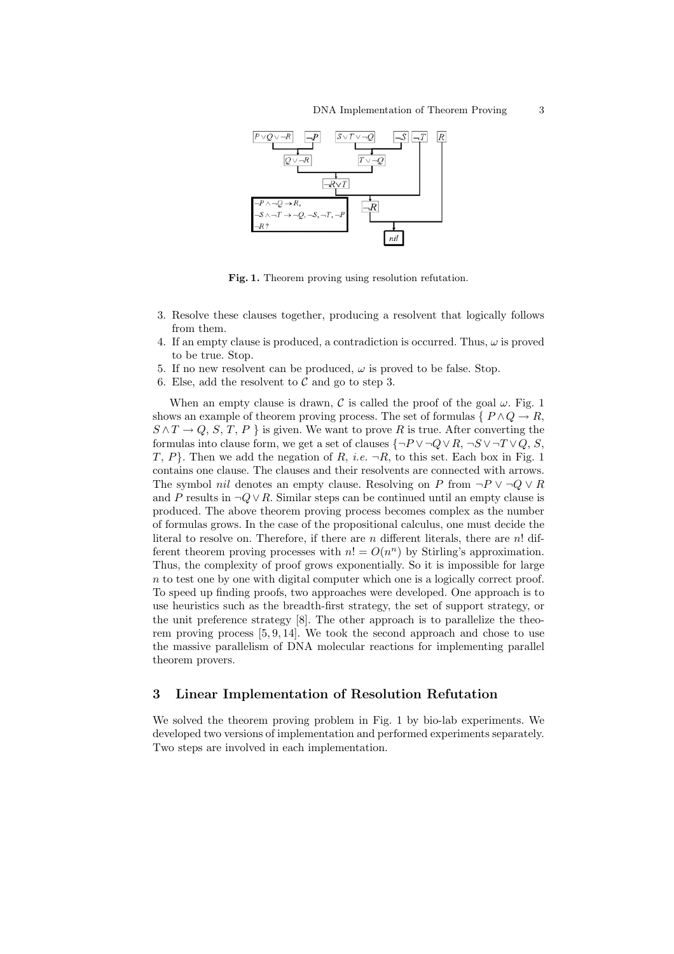

Fig. 1. Theorem proving using resolution refutation.

- 3. Resolve these clauses together, producing a resolvent that logically follows from them.
- 4. If an empty clause is produced, a contradiction is occurred. Thus,  $\omega$  is proved to be true. Stop.
- 5. If no new resolvent can be produced,  $\omega$  is proved to be false. Stop.
- 6. Else, add the resolvent to  $\mathcal C$  and go to step 3.

When an empty clause is drawn,  $\mathcal C$  is called the proof of the goal  $\omega$ . Fig. 1 shows an example of theorem proving process. The set of formulas {  $P \wedge Q \rightarrow R$ ,  $S \wedge T \to Q$ , S, T, P } is given. We want to prove R is true. After converting the formulas into clause form, we get a set of clauses  $\{\neg P \lor \neg Q \lor R, \neg S \lor \neg T \lor Q, S, \neg S \lor \neg T \lor Q, \neg S \lor \neg T \lor Q, \neg S \lor \neg T \lor Q, \neg S \lor \neg T \lor Q, \neg S \lor \neg T \lor Q, \neg S \lor \neg T \lor Q, \neg S \lor \neg T \lor Q, \neg S \lor \neg T \lor Q, \neg S \lor \neg T \lor Q, \neg S \lor \neg T \lor Q, \neg S \lor \neg T \lor Q, \neg S \lor \neg T \lor$ T, P. Then we add the negation of R, *i.e.*  $\neg R$ , to this set. Each box in Fig. 1 contains one clause. The clauses and their resolvents are connected with arrows. The symbol *nil* denotes an empty clause. Resolving on P from  $\neg P \lor \neg Q \lor R$ and P results in  $\neg Q \lor R$ . Similar steps can be continued until an empty clause is produced. The above theorem proving process becomes complex as the number of formulas grows. In the case of the propositional calculus, one must decide the literal to resolve on. Therefore, if there are  $n$  different literals, there are  $n!$  different theorem proving processes with  $n! = O(n^n)$  by Stirling's approximation. Thus, the complexity of proof grows exponentially. So it is impossible for large  $n$  to test one by one with digital computer which one is a logically correct proof. To speed up finding proofs, two approaches were developed. One approach is to use heuristics such as the breadth-first strategy, the set of support strategy, or the unit preference strategy [8]. The other approach is to parallelize the theorem proving process [5, 9, 14]. We took the second approach and chose to use the massive parallelism of DNA molecular reactions for implementing parallel theorem provers.

## **3 Linear Implementation of Resolution Refutation**

We solved the theorem proving problem in Fig. 1 by bio-lab experiments. We developed two versions of implementation and performed experiments separately. Two steps are involved in each implementation.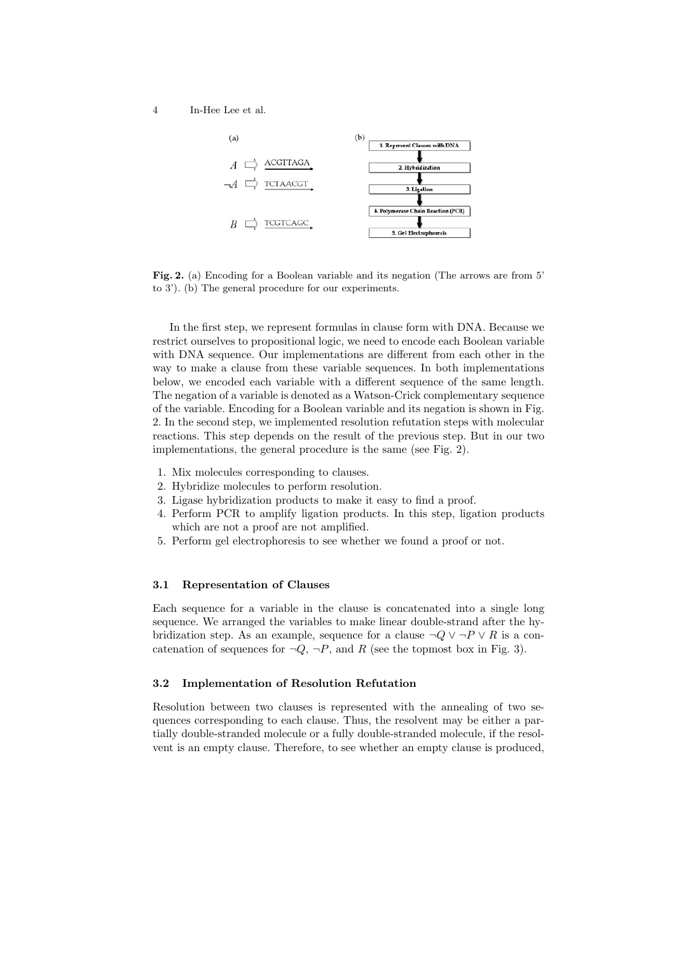

Fig. 2. (a) Encoding for a Boolean variable and its negation (The arrows are from 5<sup>'</sup> to 3'). (b) The general procedure for our experiments.

In the first step, we represent formulas in clause form with DNA. Because we restrict ourselves to propositional logic, we need to encode each Boolean variable with DNA sequence. Our implementations are different from each other in the way to make a clause from these variable sequences. In both implementations below, we encoded each variable with a different sequence of the same length. The negation of a variable is denoted as a Watson-Crick complementary sequence of the variable. Encoding for a Boolean variable and its negation is shown in Fig. 2. In the second step, we implemented resolution refutation steps with molecular reactions. This step depends on the result of the previous step. But in our two implementations, the general procedure is the same (see Fig. 2).

- 1. Mix molecules corresponding to clauses.
- 2. Hybridize molecules to perform resolution.
- 3. Ligase hybridization products to make it easy to find a proof.
- 4. Perform PCR to amplify ligation products. In this step, ligation products which are not a proof are not amplified.
- 5. Perform gel electrophoresis to see whether we found a proof or not.

## **3.1 Representation of Clauses**

Each sequence for a variable in the clause is concatenated into a single long sequence. We arranged the variables to make linear double-strand after the hybridization step. As an example, sequence for a clause  $\neg Q \lor \neg P \lor R$  is a concatenation of sequences for  $\neg Q$ ,  $\neg P$ , and R (see the topmost box in Fig. 3).

#### **3.2 Implementation of Resolution Refutation**

Resolution between two clauses is represented with the annealing of two sequences corresponding to each clause. Thus, the resolvent may be either a partially double-stranded molecule or a fully double-stranded molecule, if the resolvent is an empty clause. Therefore, to see whether an empty clause is produced,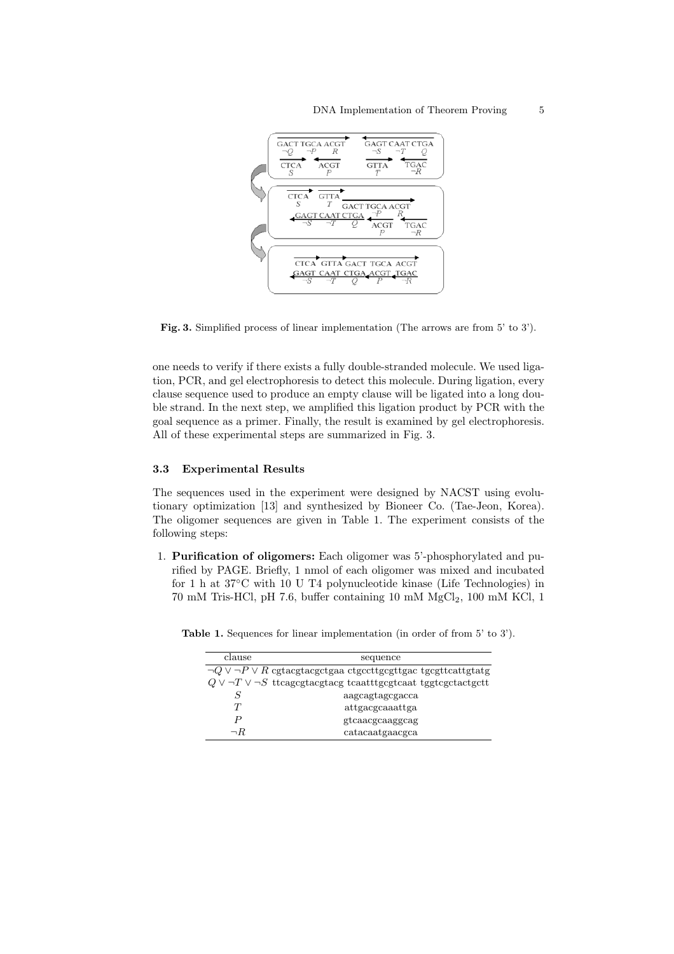

**Fig. 3.** Simplified process of linear implementation (The arrows are from 5' to 3').

one needs to verify if there exists a fully double-stranded molecule. We used ligation, PCR, and gel electrophoresis to detect this molecule. During ligation, every clause sequence used to produce an empty clause will be ligated into a long double strand. In the next step, we amplified this ligation product by PCR with the goal sequence as a primer. Finally, the result is examined by gel electrophoresis. All of these experimental steps are summarized in Fig. 3.

### **3.3 Experimental Results**

The sequences used in the experiment were designed by NACST using evolutionary optimization [13] and synthesized by Bioneer Co. (Tae-Jeon, Korea). The oligomer sequences are given in Table 1. The experiment consists of the following steps:

1. **Purification of oligomers:** Each oligomer was 5'-phosphorylated and purified by PAGE. Briefly, 1 nmol of each oligomer was mixed and incubated for 1 h at  $37^{\circ}$ C with 10 U T4 polynucleotide kinase (Life Technologies) in  $70 \text{ mM Tris-HCl}, \text{pH } 7.6, \text{ buffer containing } 10 \text{ mM } \text{MgCl}_2, 100 \text{ mM KCl}, 110 \text{ m} \text{KCl}$ 

| clause   | sequence                                                                                                                                                                                                                                              |
|----------|-------------------------------------------------------------------------------------------------------------------------------------------------------------------------------------------------------------------------------------------------------|
|          | $\neg Q \lor \neg P \lor R$ cgtacgtacgctgaa ctgccttgcgttgac tgcgttcattgtatg                                                                                                                                                                           |
|          | $Q \vee \neg T \vee \neg S$ transcript transcript to the resolution of the respect of the resolution of the resolution of the resolution of $Q \vee \neg T \vee \neg S$ transcript to resolution of the resolution of the resolution of the resolutio |
| S        | aagcagtagcgacca                                                                                                                                                                                                                                       |
| T        | attgacgcaaattga                                                                                                                                                                                                                                       |
| P        | gtcaacgcaaggcag                                                                                                                                                                                                                                       |
| $\neg R$ | catacaatgaacgca                                                                                                                                                                                                                                       |

Table 1. Sequences for linear implementation (in order of from 5' to 3').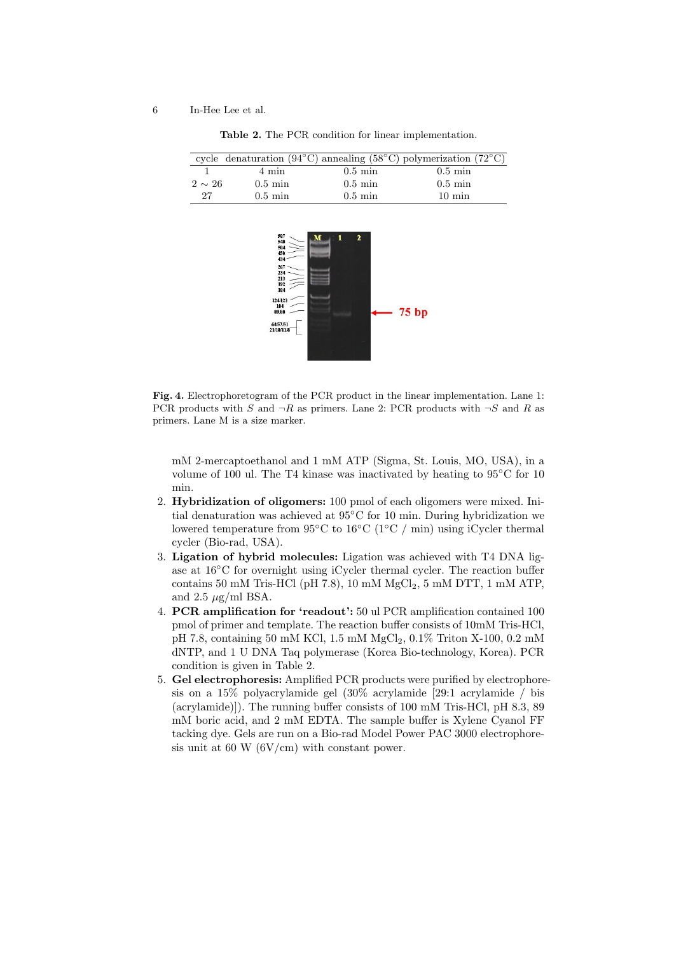|             |                   |                   | cycle denaturation (94 $^{\circ}$ C) annealing (58 $^{\circ}$ C) polymerization (72 $^{\circ}$ C) |
|-------------|-------------------|-------------------|---------------------------------------------------------------------------------------------------|
|             | 4 min             | $0.5 \text{ min}$ | $0.5 \text{ min}$                                                                                 |
| $2 \sim 26$ | $0.5 \text{ min}$ | $0.5 \text{ min}$ | $0.5 \text{ min}$                                                                                 |
| 27          | $0.5 \text{ min}$ | $0.5 \text{ min}$ | $10 \text{ min}$                                                                                  |

**Table 2.** The PCR condition for linear implementation.



**Fig. 4.** Electrophoretogram of the PCR product in the linear implementation. Lane 1: PCR products with S and  $\neg R$  as primers. Lane 2: PCR products with  $\neg S$  and R as primers. Lane M is a size marker.

mM 2-mercaptoethanol and 1 mM ATP (Sigma, St. Louis, MO, USA), in a volume of 100 ul. The T4 kinase was inactivated by heating to 95◦C for 10 min.

- 2. **Hybridization of oligomers:** 100 pmol of each oligomers were mixed. Initial denaturation was achieved at 95◦C for 10 min. During hybridization we lowered temperature from 95◦C to 16◦C (1◦C / min) using iCycler thermal cycler (Bio-rad, USA).
- 3. **Ligation of hybrid molecules:** Ligation was achieved with T4 DNA ligase at 16◦C for overnight using iCycler thermal cycler. The reaction buffer contains 50 mM Tris-HCl (pH 7.8), 10 mM  $MgCl<sub>2</sub>$ , 5 mM DTT, 1 mM ATP, and 2.5  $\mu$ g/ml BSA.
- 4. **PCR amplification for 'readout':** 50 ul PCR amplification contained 100 pmol of primer and template. The reaction buffer consists of 10mM Tris-HCl, pH 7.8, containing 50 mM KCl, 1.5 mM MgCl<sub>2</sub>, 0.1% Triton X-100, 0.2 mM dNTP, and 1 U DNA Taq polymerase (Korea Bio-technology, Korea). PCR condition is given in Table 2.
- 5. **Gel electrophoresis:** Amplified PCR products were purified by electrophoresis on a 15% polyacrylamide gel  $(30\% \text{ acrylamide} \mid 29.1 \text{ acrylamide} / \text{bis}$ (acrylamide)]). The running buffer consists of 100 mM Tris-HCl, pH 8.3, 89 mM boric acid, and 2 mM EDTA. The sample buffer is Xylene Cyanol FF tacking dye. Gels are run on a Bio-rad Model Power PAC 3000 electrophoresis unit at 60 W (6V/cm) with constant power.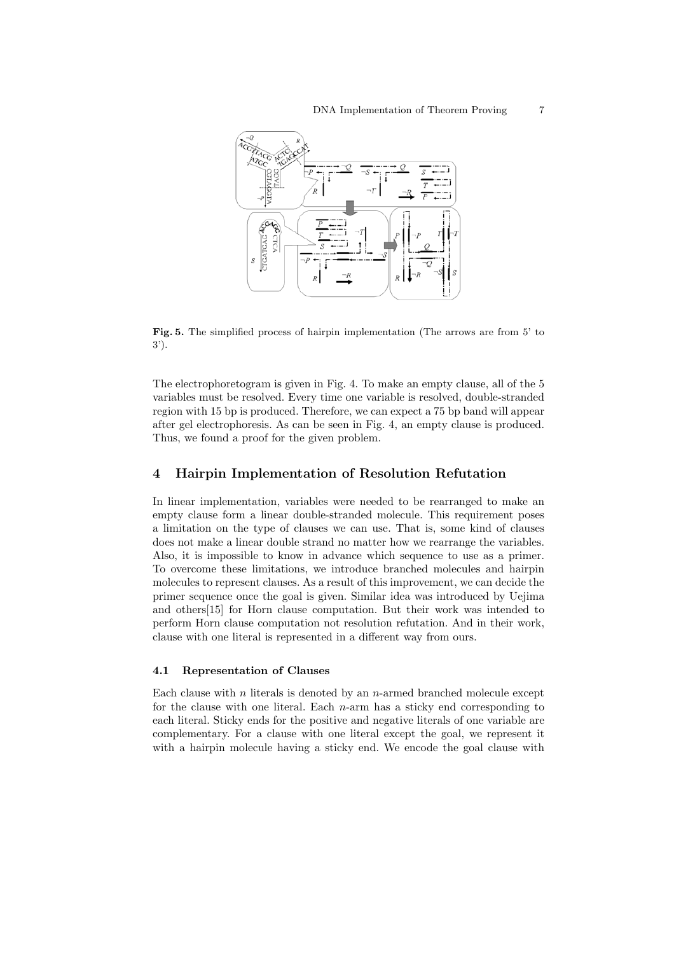

**Fig. 5.** The simplified process of hairpin implementation (The arrows are from 5' to 3').

The electrophoretogram is given in Fig. 4. To make an empty clause, all of the 5 variables must be resolved. Every time one variable is resolved, double-stranded region with 15 bp is produced. Therefore, we can expect a 75 bp band will appear after gel electrophoresis. As can be seen in Fig. 4, an empty clause is produced. Thus, we found a proof for the given problem.

## **4 Hairpin Implementation of Resolution Refutation**

In linear implementation, variables were needed to be rearranged to make an empty clause form a linear double-stranded molecule. This requirement poses a limitation on the type of clauses we can use. That is, some kind of clauses does not make a linear double strand no matter how we rearrange the variables. Also, it is impossible to know in advance which sequence to use as a primer. To overcome these limitations, we introduce branched molecules and hairpin molecules to represent clauses. As a result of this improvement, we can decide the primer sequence once the goal is given. Similar idea was introduced by Uejima and others[15] for Horn clause computation. But their work was intended to perform Horn clause computation not resolution refutation. And in their work, clause with one literal is represented in a different way from ours.

#### **4.1 Representation of Clauses**

Each clause with n literals is denoted by an n-armed branched molecule except for the clause with one literal. Each n-arm has a sticky end corresponding to each literal. Sticky ends for the positive and negative literals of one variable are complementary. For a clause with one literal except the goal, we represent it with a hairpin molecule having a sticky end. We encode the goal clause with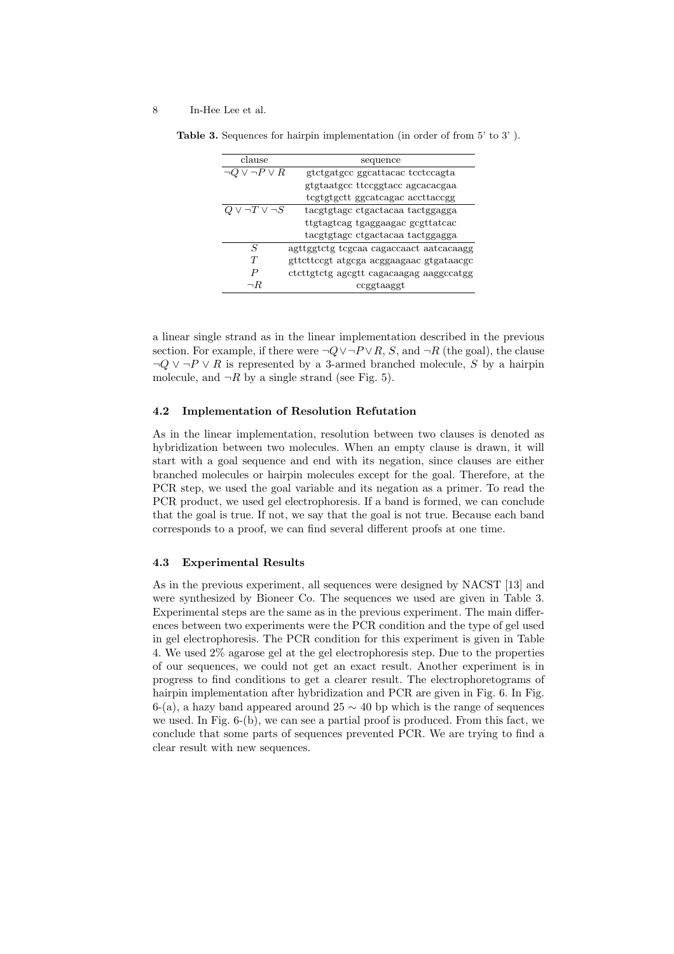#### 8 In-Hee Lee et al.

| clause                      | sequence                                |
|-----------------------------|-----------------------------------------|
| $\eta \neg P \lor R$        | gtctgatgcc ggcattacac tcctccagta        |
|                             | gtgtaatgcc ttccggtacc agcacacgaa        |
|                             | tcgtgtgctt ggcatcagac accttaccgg        |
| $Q \vee \neg T \vee \neg S$ | tacgtgtage etgactacaa tactggagga        |
|                             | ttgtagtcag tgaggaagac gcgttatcac        |
|                             | tacgtgtage etgactacaa tactggagga        |
| S                           | agttggtctg tcgcaa cagaccaact aatcacaagg |
| T                           | gttetteegt atgega aeggaagaac gtgataaege |
| P                           | ctcttgtctg agcgtt cagacaagag aaggccatgg |
| $\neg R$                    | ccggtaaggt                              |

**Table 3.** Sequences for hairpin implementation (in order of from 5' to 3' ).

a linear single strand as in the linear implementation described in the previous section. For example, if there were  $\neg Q \lor \neg P \lor R$ , S, and  $\neg R$  (the goal), the clause  $\neg Q \lor \neg P \lor R$  is represented by a 3-armed branched molecule, S by a hairpin molecule, and  $\neg R$  by a single strand (see Fig. 5).

#### **4.2 Implementation of Resolution Refutation**

As in the linear implementation, resolution between two clauses is denoted as hybridization between two molecules. When an empty clause is drawn, it will start with a goal sequence and end with its negation, since clauses are either branched molecules or hairpin molecules except for the goal. Therefore, at the PCR step, we used the goal variable and its negation as a primer. To read the PCR product, we used gel electrophoresis. If a band is formed, we can conclude that the goal is true. If not, we say that the goal is not true. Because each band corresponds to a proof, we can find several different proofs at one time.

### **4.3 Experimental Results**

As in the previous experiment, all sequences were designed by NACST [13] and were synthesized by Bioneer Co. The sequences we used are given in Table 3. Experimental steps are the same as in the previous experiment. The main differences between two experiments were the PCR condition and the type of gel used in gel electrophoresis. The PCR condition for this experiment is given in Table 4. We used 2% agarose gel at the gel electrophoresis step. Due to the properties of our sequences, we could not get an exact result. Another experiment is in progress to find conditions to get a clearer result. The electrophoretograms of hairpin implementation after hybridization and PCR are given in Fig. 6. In Fig. 6-(a), a hazy band appeared around 25  $\sim$  40 bp which is the range of sequences we used. In Fig. 6-(b), we can see a partial proof is produced. From this fact, we conclude that some parts of sequences prevented PCR. We are trying to find a clear result with new sequences.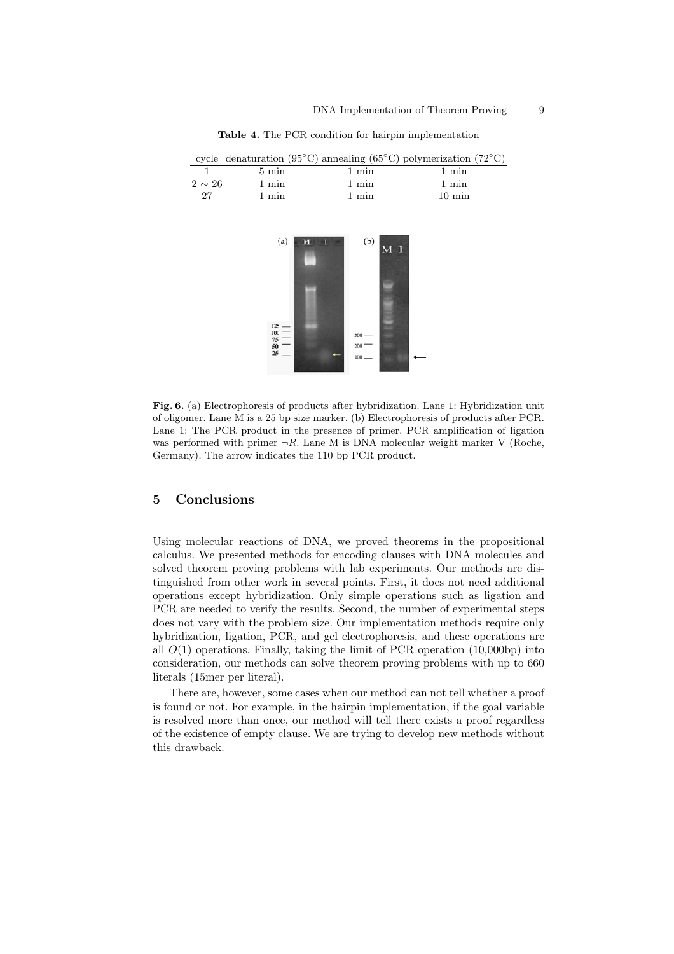|             |                 |       | cycle denaturation (95 <sup>o</sup> C) annealing (65 <sup>o</sup> C) polymerization (72 <sup>o</sup> C) |
|-------------|-----------------|-------|---------------------------------------------------------------------------------------------------------|
|             | $5 \text{ min}$ | 1 min | 1 min                                                                                                   |
| $2 \sim 26$ | 1 min           | 1 min | 1 min                                                                                                   |
| 27          | 1 min           | 1 min | $10 \text{ min}$                                                                                        |
|             |                 |       |                                                                                                         |

**Table 4.** The PCR condition for hairpin implementation



**Fig. 6.** (a) Electrophoresis of products after hybridization. Lane 1: Hybridization unit of oligomer. Lane M is a 25 bp size marker. (b) Electrophoresis of products after PCR. Lane 1: The PCR product in the presence of primer. PCR amplification of ligation was performed with primer  $\neg R$ . Lane M is DNA molecular weight marker V (Roche, Germany). The arrow indicates the 110 bp PCR product.

## **5 Conclusions**

Using molecular reactions of DNA, we proved theorems in the propositional calculus. We presented methods for encoding clauses with DNA molecules and solved theorem proving problems with lab experiments. Our methods are distinguished from other work in several points. First, it does not need additional operations except hybridization. Only simple operations such as ligation and PCR are needed to verify the results. Second, the number of experimental steps does not vary with the problem size. Our implementation methods require only hybridization, ligation, PCR, and gel electrophoresis, and these operations are all  $O(1)$  operations. Finally, taking the limit of PCR operation  $(10,000bp)$  into consideration, our methods can solve theorem proving problems with up to 660 literals (15mer per literal).

There are, however, some cases when our method can not tell whether a proof is found or not. For example, in the hairpin implementation, if the goal variable is resolved more than once, our method will tell there exists a proof regardless of the existence of empty clause. We are trying to develop new methods without this drawback.